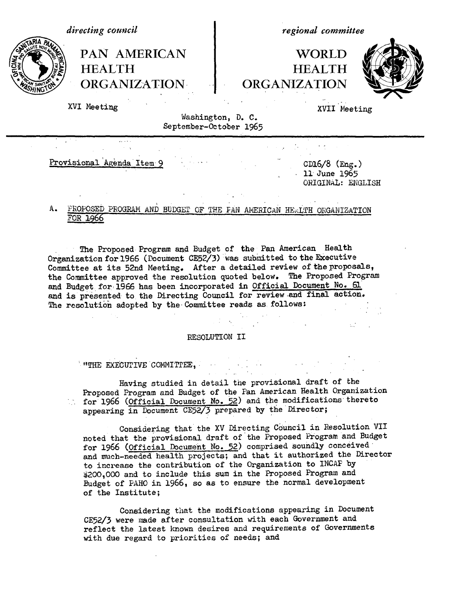*regional committee* PAN AMERICAN | WORLD HEALTH **HEALTH** ORGANIZATION ORGANIZATION XVI Meeting XVII Meeting Washington, D. C. September-October 1965 *directing council*

Provisional Agenda Item 9 - CD16/8 (Eng.)

ll June 1965 ORIGINAL: ENGLISH

# A. PROPOSED PROGRAM AND BUDGET OF THE FAN AMERICAN HEALTH ORGANIZATION FOR 1966

The Proposed Program and Budget of the Pan American Health Organization for 1966 (Document CE52/3) was submitted to the Executive Committee at its 52nd Meeting. After a detailed review of theproposals, the Committee approved the resolution quoted below. The Proposed Program and Budget for 1966 has been incorporated in Official Document No. 61 and is presented to the Directing Council for review and final action. The resolution adopted by the Committee reads as follows:

#### RESOLUTION II

## **ITHE EXECUTIVE COMMITTEE,**

Having studied in detail the provisional draft of the Proposed Program and Budget of the Pan American Health Organization for 1966 (Official Document No. *52)* and the modifications thereto appearing in Document CE52/3 prepared by the Director;

Considering that the XV Directing Council in Resolution VII noted that the provisional draft of the Proposed Program and Budget for 1966 (Official Document No. 52) comprised soundly conceived and much-needed health projects; and that it authorized the Director to increase the contribution of the Organization to INCAP by 4200,000 and to include this sum in the Proposed Program and Budget of PAHO in 1966, so as to ensure the normal development of the Institute;

Considering that the modifications appearing in Document CE52/3 were made after consultation with each Government and reflect the latest known desires and requirements of Governments with due regard to priorities of needs; and